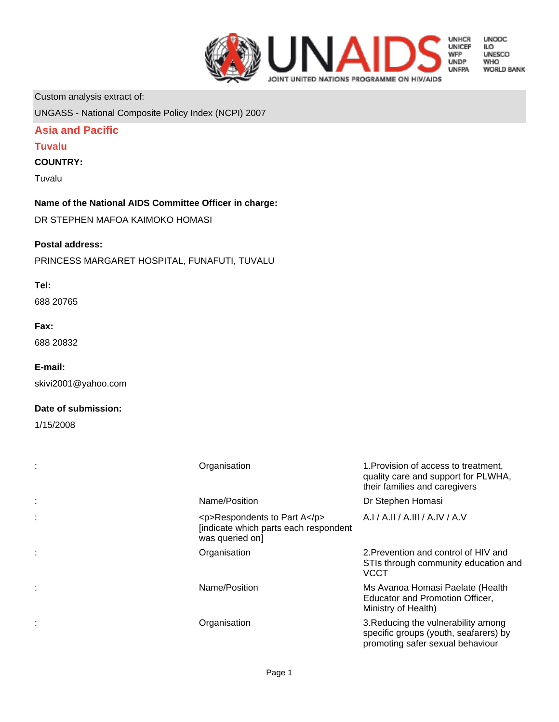

**UNODC** LO<br>ILO<br>UNESCO **WHO WORLD BANK** 

Custom analysis extract of:

UNGASS - National Composite Policy Index (NCPI) 2007

# **Asia and Pacific**

# **Tuvalu**

# **COUNTRY:**

Tuvalu

**Name of the National AIDS Committee Officer in charge:**

DR STEPHEN MAFOA KAIMOKO HOMASI

# **Postal address:**

PRINCESS MARGARET HOSPITAL, FUNAFUTI, TUVALU

# **Tel:**

688 20765

## **Fax:**

688 20832

# **E-mail:**

skivi2001@yahoo.com

# **Date of submission:**

1/15/2008

| Organisation                                                                            | 1. Provision of access to treatment,<br>quality care and support for PLWHA,<br>their families and caregivers     |
|-----------------------------------------------------------------------------------------|------------------------------------------------------------------------------------------------------------------|
| Name/Position                                                                           | Dr Stephen Homasi                                                                                                |
| <p>Respondents to Part A</p><br>[indicate which parts each respondent<br>was queried on | A.I / A.II / A.III / A.IV / A.V                                                                                  |
| Organisation                                                                            | 2. Prevention and control of HIV and<br>STIs through community education and<br><b>VCCT</b>                      |
| Name/Position                                                                           | Ms Avanoa Homasi Paelate (Health<br>Educator and Promotion Officer,<br>Ministry of Health)                       |
| Organisation                                                                            | 3. Reducing the vulnerability among<br>specific groups (youth, seafarers) by<br>promoting safer sexual behaviour |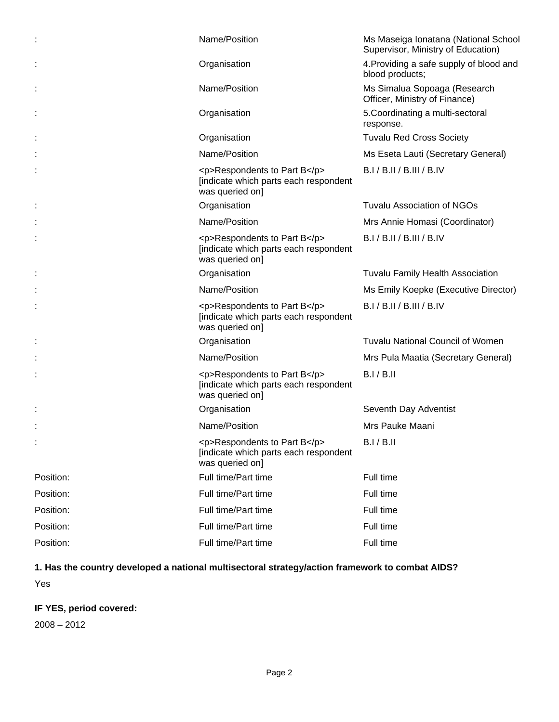|           | Name/Position                                                                            | Ms Maseiga Ionatana (National School<br>Supervisor, Ministry of Education) |
|-----------|------------------------------------------------------------------------------------------|----------------------------------------------------------------------------|
|           | Organisation                                                                             | 4. Providing a safe supply of blood and<br>blood products;                 |
|           | Name/Position                                                                            | Ms Simalua Sopoaga (Research<br>Officer, Ministry of Finance)              |
|           | Organisation                                                                             | 5. Coordinating a multi-sectoral<br>response.                              |
|           | Organisation                                                                             | <b>Tuvalu Red Cross Society</b>                                            |
|           | Name/Position                                                                            | Ms Eseta Lauti (Secretary General)                                         |
|           | <p>Respondents to Part B</p><br>[indicate which parts each respondent<br>was queried on] | B.I/B.II/B.III/B.IV                                                        |
|           | Organisation                                                                             | <b>Tuvalu Association of NGOs</b>                                          |
|           | Name/Position                                                                            | Mrs Annie Homasi (Coordinator)                                             |
|           | <p>Respondents to Part B</p><br>[indicate which parts each respondent<br>was queried on] | B.I / B.II / B.III / B.IV                                                  |
|           | Organisation                                                                             | <b>Tuvalu Family Health Association</b>                                    |
|           | Name/Position                                                                            | Ms Emily Koepke (Executive Director)                                       |
|           | <p>Respondents to Part B</p><br>[indicate which parts each respondent<br>was queried on] | B.I / B.II / B.III / B.IV                                                  |
|           | Organisation                                                                             | <b>Tuvalu National Council of Women</b>                                    |
|           | Name/Position                                                                            | Mrs Pula Maatia (Secretary General)                                        |
|           | <p>Respondents to Part B</p><br>[indicate which parts each respondent<br>was queried on] | B.I/B.II                                                                   |
| İ,        | Organisation                                                                             | Seventh Day Adventist                                                      |
|           | Name/Position                                                                            | Mrs Pauke Maani                                                            |
|           | <p>Respondents to Part B</p><br>[indicate which parts each respondent<br>was queried on] | B.I/B.II                                                                   |
| Position: | Full time/Part time                                                                      | Full time                                                                  |
| Position: | Full time/Part time                                                                      | Full time                                                                  |
| Position: | Full time/Part time                                                                      | Full time                                                                  |
| Position: | Full time/Part time                                                                      | Full time                                                                  |
| Position: | Full time/Part time                                                                      | Full time                                                                  |

# **1. Has the country developed a national multisectoral strategy/action framework to combat AIDS?** Yes

# **IF YES, period covered:**

2008 – 2012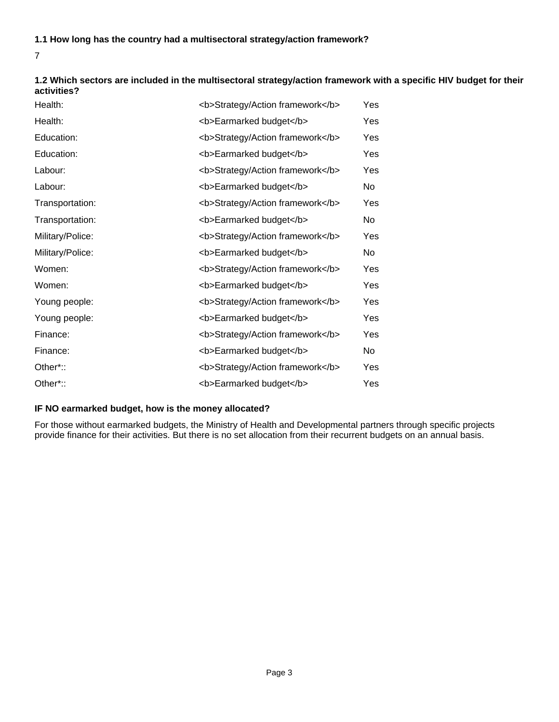# **1.1 How long has the country had a multisectoral strategy/action framework?**

7

## **1.2 Which sectors are included in the multisectoral strategy/action framework with a specific HIV budget for their activities?**

| Health:          | <b>Strategy/Action framework</b> | Yes |
|------------------|----------------------------------|-----|
| Health:          | <b>Earmarked budget</b>          | Yes |
| Education:       | <b>Strategy/Action framework</b> | Yes |
| Education:       | <b>Earmarked budget</b>          | Yes |
| Labour:          | <b>Strategy/Action framework</b> | Yes |
| Labour:          | <b>Earmarked budget</b>          | No  |
| Transportation:  | <b>Strategy/Action framework</b> | Yes |
| Transportation:  | <b>Earmarked budget</b>          | No. |
| Military/Police: | <b>Strategy/Action framework</b> | Yes |
| Military/Police: | <b>Earmarked budget</b>          | No  |
| Women:           | <b>Strategy/Action framework</b> | Yes |
| Women:           | <b>Earmarked budget</b>          | Yes |
| Young people:    | <b>Strategy/Action framework</b> | Yes |
| Young people:    | <b>Earmarked budget</b>          | Yes |
| Finance:         | <b>Strategy/Action framework</b> | Yes |
| Finance:         | <b>Earmarked budget</b>          | No. |
| Other*::         | <b>Strategy/Action framework</b> | Yes |
| Other*::         | <b>Earmarked budget</b>          | Yes |

# **IF NO earmarked budget, how is the money allocated?**

For those without earmarked budgets, the Ministry of Health and Developmental partners through specific projects provide finance for their activities. But there is no set allocation from their recurrent budgets on an annual basis.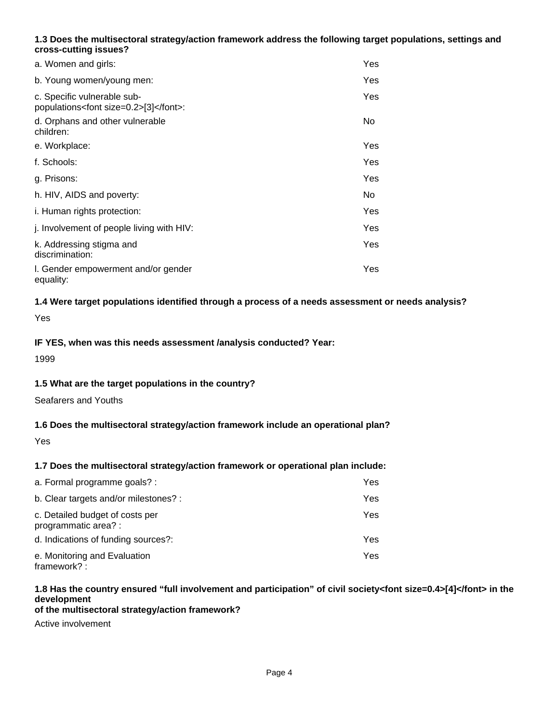# **1.3 Does the multisectoral strategy/action framework address the following target populations, settings and cross-cutting issues?**

| a. Women and girls:                                                      | Yes  |
|--------------------------------------------------------------------------|------|
| b. Young women/young men:                                                | Yes. |
| c. Specific vulnerable sub-<br>populations <font size="0.2">[3]</font> : | Yes. |
| d. Orphans and other vulnerable<br>children:                             | No.  |
| e. Workplace:                                                            | Yes. |
| f. Schools:                                                              | Yes. |
| g. Prisons:                                                              | Yes. |
| h. HIV, AIDS and poverty:                                                | No.  |
| i. Human rights protection:                                              | Yes. |
| j. Involvement of people living with HIV:                                | Yes  |
| k. Addressing stigma and<br>discrimination:                              | Yes. |
| I. Gender empowerment and/or gender<br>equality:                         | Yes. |

# **1.4 Were target populations identified through a process of a needs assessment or needs analysis?**

Yes

# **IF YES, when was this needs assessment /analysis conducted? Year:**

1999

# **1.5 What are the target populations in the country?**

Seafarers and Youths

# **1.6 Does the multisectoral strategy/action framework include an operational plan?**

Yes

# **1.7 Does the multisectoral strategy/action framework or operational plan include:**

| a. Formal programme goals? :                            | Yes |
|---------------------------------------------------------|-----|
| b. Clear targets and/or milestones? :                   | Yes |
| c. Detailed budget of costs per<br>programmatic area? : | Yes |
| d. Indications of funding sources?:                     | Yes |
| e. Monitoring and Evaluation<br>framework?:             | Yes |

#### **1.8 Has the country ensured "full involvement and participation" of civil society<font size=0.4>[4]</font> in the development of the multisectoral strategy/action framework?**

Active involvement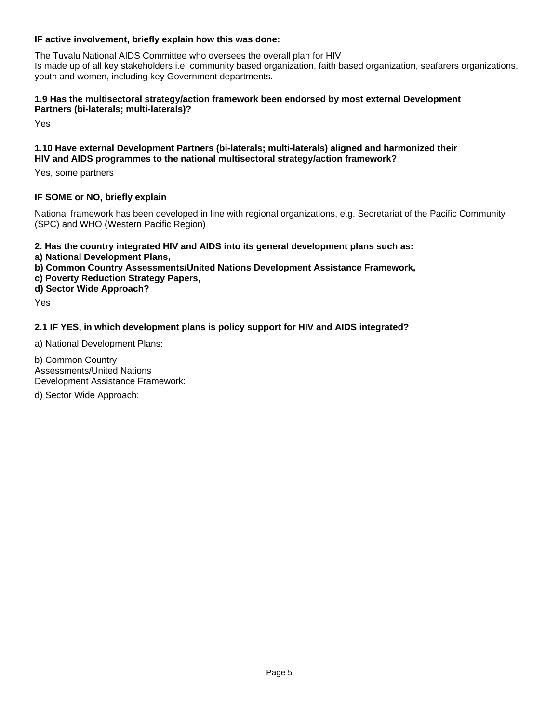# **IF active involvement, briefly explain how this was done:**

The Tuvalu National AIDS Committee who oversees the overall plan for HIV Is made up of all key stakeholders i.e. community based organization, faith based organization, seafarers organizations, youth and women, including key Government departments.

# **1.9 Has the multisectoral strategy/action framework been endorsed by most external Development Partners (bi-laterals; multi-laterals)?**

Yes

## **1.10 Have external Development Partners (bi-laterals; multi-laterals) aligned and harmonized their HIV and AIDS programmes to the national multisectoral strategy/action framework?**

Yes, some partners

# **IF SOME or NO, briefly explain**

National framework has been developed in line with regional organizations, e.g. Secretariat of the Pacific Community (SPC) and WHO (Western Pacific Region)

**2. Has the country integrated HIV and AIDS into its general development plans such as:** 

- **a) National Development Plans,**
- **b) Common Country Assessments/United Nations Development Assistance Framework,**
- **c) Poverty Reduction Strategy Papers,**

**d) Sector Wide Approach?**

Yes

# **2.1 IF YES, in which development plans is policy support for HIV and AIDS integrated?**

a) National Development Plans:

b) Common Country Assessments/United Nations Development Assistance Framework:

d) Sector Wide Approach: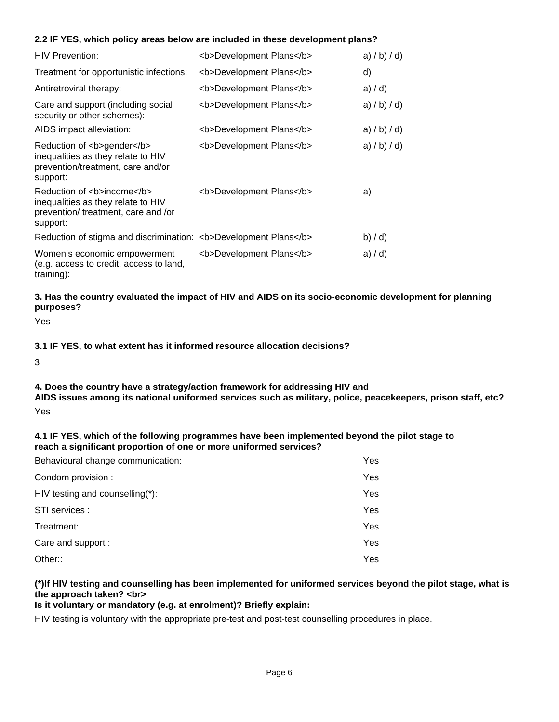# **2.2 IF YES, which policy areas below are included in these development plans?**

| <b>HIV Prevention:</b>                                                                                             | <b>Development Plans</b> | a) $/b$ ) $/d$ ) |
|--------------------------------------------------------------------------------------------------------------------|--------------------------|------------------|
| Treatment for opportunistic infections:                                                                            | <b>Development Plans</b> | d)               |
| Antiretroviral therapy:                                                                                            | <b>Development Plans</b> | a) / d           |
| Care and support (including social<br>security or other schemes):                                                  | <b>Development Plans</b> | a) / b) / d      |
| AIDS impact alleviation:                                                                                           | <b>Development Plans</b> | a) $/b$ ) $/d$ ) |
| Reduction of <b>gender</b><br>inequalities as they relate to HIV<br>prevention/treatment, care and/or<br>support:  | <b>Development Plans</b> | a) $/b$ ) $/d$ ) |
| Reduction of <b>income</b><br>inequalities as they relate to HIV<br>prevention/treatment, care and /or<br>support: | <b>Development Plans</b> | a)               |
| Reduction of stigma and discrimination: <b>Development Plans</b>                                                   |                          | (b) / d          |
| Women's economic empowerment<br>(e.g. access to credit, access to land,<br>training):                              | <b>Development Plans</b> | a) $/ d$ )       |

**3. Has the country evaluated the impact of HIV and AIDS on its socio-economic development for planning purposes?**

Yes

**3.1 IF YES, to what extent has it informed resource allocation decisions?**

3

### **4. Does the country have a strategy/action framework for addressing HIV and**

**AIDS issues among its national uniformed services such as military, police, peacekeepers, prison staff, etc?** Yes

# **4.1 IF YES, which of the following programmes have been implemented beyond the pilot stage to reach a significant proportion of one or more uniformed services?**

| Behavioural change communication: | Yes  |
|-----------------------------------|------|
| Condom provision :                | Yes. |
| HIV testing and counselling(*):   | Yes. |
| STI services :                    | Yes. |
| Treatment:                        | Yes  |
| Care and support :                | Yes  |
| Other::                           | Yes. |

# **(\*)If HIV testing and counselling has been implemented for uniformed services beyond the pilot stage, what is the approach taken? <br>**

# **Is it voluntary or mandatory (e.g. at enrolment)? Briefly explain:**

HIV testing is voluntary with the appropriate pre-test and post-test counselling procedures in place.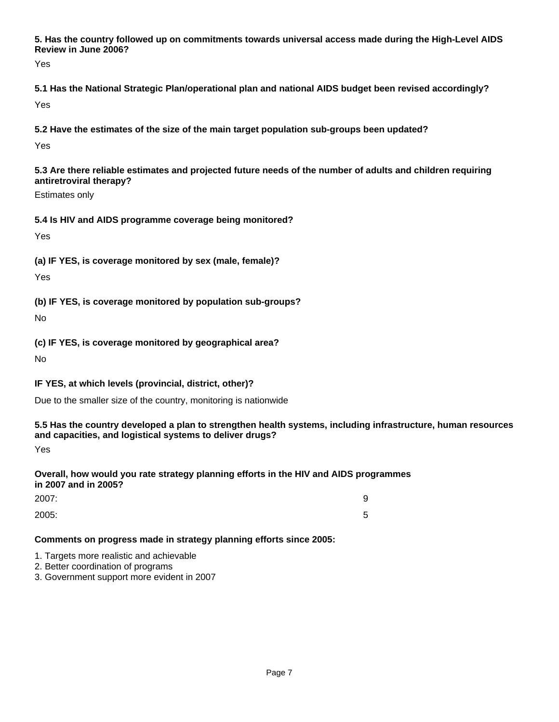**5. Has the country followed up on commitments towards universal access made during the High-Level AIDS Review in June 2006?**

Yes

**5.1 Has the National Strategic Plan/operational plan and national AIDS budget been revised accordingly?** Yes

**5.2 Have the estimates of the size of the main target population sub-groups been updated?**

Yes

**5.3 Are there reliable estimates and projected future needs of the number of adults and children requiring antiretroviral therapy?**

Estimates only

# **5.4 Is HIV and AIDS programme coverage being monitored?**

Yes

**(a) IF YES, is coverage monitored by sex (male, female)?**

Yes

**(b) IF YES, is coverage monitored by population sub-groups?**

No

**(c) IF YES, is coverage monitored by geographical area?**

No

**IF YES, at which levels (provincial, district, other)?**

Due to the smaller size of the country, monitoring is nationwide

# **5.5 Has the country developed a plan to strengthen health systems, including infrastructure, human resources and capacities, and logistical systems to deliver drugs?**

Yes

# **Overall, how would you rate strategy planning efforts in the HIV and AIDS programmes in 2007 and in 2005?**

| 2007: | 9 |
|-------|---|
| 2005: | ັ |

# **Comments on progress made in strategy planning efforts since 2005:**

1. Targets more realistic and achievable

- 2. Better coordination of programs
- 3. Government support more evident in 2007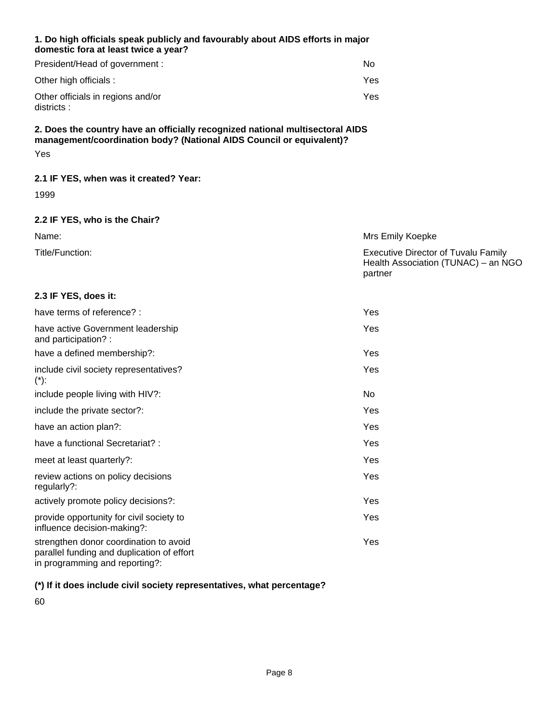## **1. Do high officials speak publicly and favourably about AIDS efforts in major domestic fora at least twice a year?**

| President/Head of government :                  | No  |
|-------------------------------------------------|-----|
| Other high officials :                          | Yes |
| Other officials in regions and/or<br>districts: | Yes |

# **2. Does the country have an officially recognized national multisectoral AIDS management/coordination body? (National AIDS Council or equivalent)?** Yes

# **2.1 IF YES, when was it created? Year:**

1999

# **2.2 IF YES, who is the Chair?**

| Name:           | Mrs Emily Koepke                                                                  |
|-----------------|-----------------------------------------------------------------------------------|
| Title/Function: | <b>Executive Director of Tuvalu Family</b><br>Health Association (TUNAC) – an NGO |
|                 | partner                                                                           |

# **2.3 IF YES, does it:**

| have terms of reference? :                                                                                             | Yes  |
|------------------------------------------------------------------------------------------------------------------------|------|
| have active Government leadership<br>and participation?:                                                               | Yes  |
| have a defined membership?:                                                                                            | Yes. |
| include civil society representatives?<br>$(*)$ :                                                                      | Yes  |
| include people living with HIV?:                                                                                       | No.  |
| include the private sector?:                                                                                           | Yes  |
| have an action plan?:                                                                                                  | Yes  |
| have a functional Secretariat? :                                                                                       | Yes  |
| meet at least quarterly?:                                                                                              | Yes  |
| review actions on policy decisions<br>regularly?:                                                                      | Yes  |
| actively promote policy decisions?:                                                                                    | Yes  |
| provide opportunity for civil society to<br>influence decision-making?:                                                | Yes. |
| strengthen donor coordination to avoid<br>parallel funding and duplication of effort<br>in programming and reporting?: | Yes. |
|                                                                                                                        |      |

# **(\*) If it does include civil society representatives, what percentage?**

60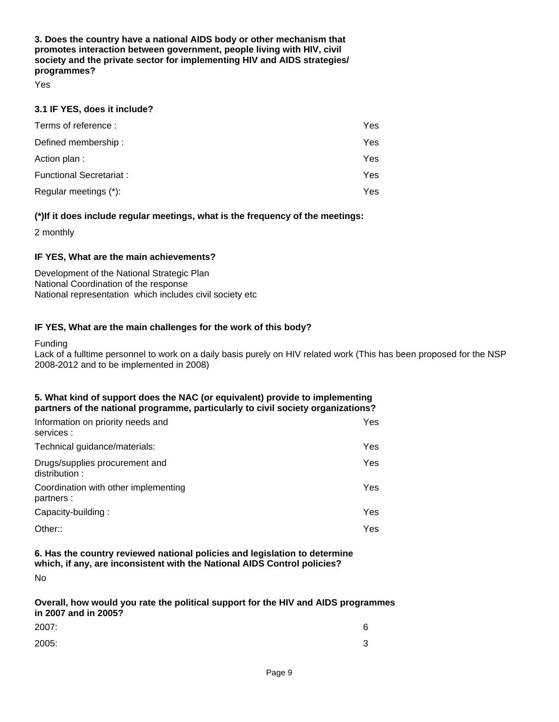**3. Does the country have a national AIDS body or other mechanism that promotes interaction between government, people living with HIV, civil society and the private sector for implementing HIV and AIDS strategies/ programmes?**

Yes

## **3.1 IF YES, does it include?**

| Terms of reference:     | Yes  |
|-------------------------|------|
| Defined membership:     | Yes. |
| Action plan:            | Yes  |
| Functional Secretariat: | Yes. |
| Regular meetings (*):   | Yes. |

# **(\*)If it does include regular meetings, what is the frequency of the meetings:**

2 monthly

## **IF YES, What are the main achievements?**

Development of the National Strategic Plan National Coordination of the response National representation which includes civil society etc

## **IF YES, What are the main challenges for the work of this body?**

Funding

Lack of a fulltime personnel to work on a daily basis purely on HIV related work (This has been proposed for the NSP 2008-2012 and to be implemented in 2008)

## **5. What kind of support does the NAC (or equivalent) provide to implementing partners of the national programme, particularly to civil society organizations?**

| Information on priority needs and<br>services :    | Yes  |
|----------------------------------------------------|------|
| Technical guidance/materials:                      | Yes. |
| Drugs/supplies procurement and<br>distribution:    | Yes. |
| Coordination with other implementing<br>partners : | Yes. |
| Capacity-building:                                 | Yes. |
| Other::                                            | Yes  |

## **6. Has the country reviewed national policies and legislation to determine which, if any, are inconsistent with the National AIDS Control policies?**

No

**Overall, how would you rate the political support for the HIV and AIDS programmes in 2007 and in 2005?**

| 2007: | 6      |
|-------|--------|
| 2005: | ົ<br>ັ |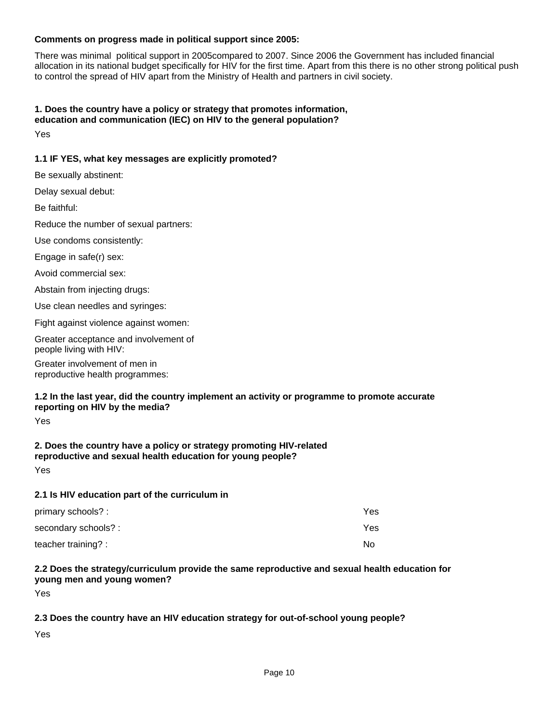# **Comments on progress made in political support since 2005:**

There was minimal political support in 2005compared to 2007. Since 2006 the Government has included financial allocation in its national budget specifically for HIV for the first time. Apart from this there is no other strong political push to control the spread of HIV apart from the Ministry of Health and partners in civil society.

## **1. Does the country have a policy or strategy that promotes information, education and communication (IEC) on HIV to the general population?**

Yes

# **1.1 IF YES, what key messages are explicitly promoted?**

Use clean needles and syringes: Abstain from injecting drugs: Avoid commercial sex: Greater involvement of men in reproductive health programmes: Greater acceptance and involvement of people living with HIV: Fight against violence against women: Be faithful: Delay sexual debut: Be sexually abstinent: Engage in safe(r) sex: Use condoms consistently: Reduce the number of sexual partners: **2. Does the country have a policy or strategy promoting HIV-related 1.2 In the last year, did the country implement an activity or programme to promote accurate reporting on HIV by the media?** Yes

# **reproductive and sexual health education for young people?** Yes

### **2.1 Is HIV education part of the curriculum in**

| primary schools? :  | Yes |
|---------------------|-----|
| secondary schools?: | Yes |
| teacher training? : | No. |

# **2.2 Does the strategy/curriculum provide the same reproductive and sexual health education for young men and young women?**

Yes

# **2.3 Does the country have an HIV education strategy for out-of-school young people?**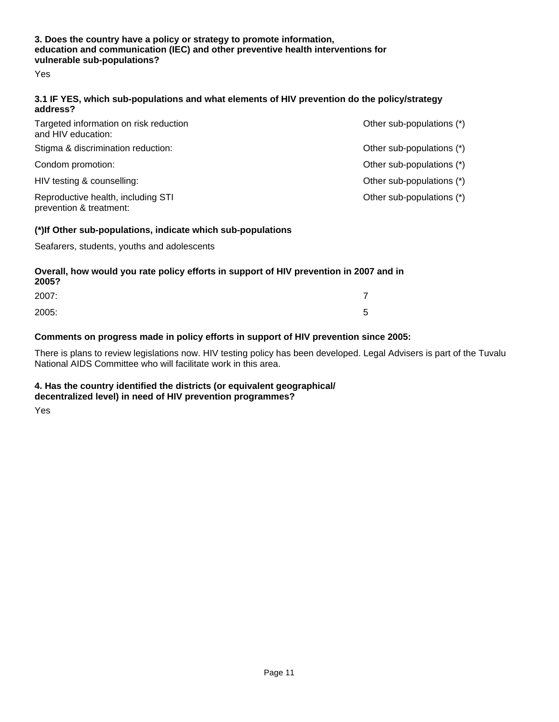# **3. Does the country have a policy or strategy to promote information, education and communication (IEC) and other preventive health interventions for vulnerable sub-populations?**

Yes

## **3.1 IF YES, which sub-populations and what elements of HIV prevention do the policy/strategy address?**

| Targeted information on risk reduction<br>and HIV education:  | Other sub-populations (*) |
|---------------------------------------------------------------|---------------------------|
| Stigma & discrimination reduction:                            | Other sub-populations (*) |
| Condom promotion:                                             | Other sub-populations (*) |
| HIV testing & counselling:                                    | Other sub-populations (*) |
| Reproductive health, including STI<br>prevention & treatment: | Other sub-populations (*) |
|                                                               |                           |

# **(\*)If Other sub-populations, indicate which sub-populations**

Seafarers, students, youths and adolescents

#### **Overall, how would you rate policy efforts in support of HIV prevention in 2007 and in 2005?**

| LUVJ: |        |
|-------|--------|
| 2007: |        |
| 2005: | ∽<br>ັ |

# **Comments on progress made in policy efforts in support of HIV prevention since 2005:**

There is plans to review legislations now. HIV testing policy has been developed. Legal Advisers is part of the Tuvalu National AIDS Committee who will facilitate work in this area.

### **4. Has the country identified the districts (or equivalent geographical/ decentralized level) in need of HIV prevention programmes?**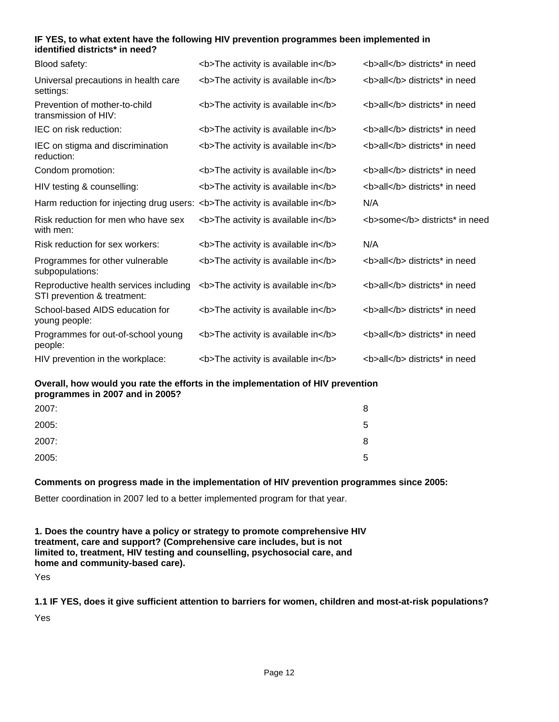## **IF YES, to what extent have the following HIV prevention programmes been implemented in identified districts\* in need?**

| Blood safety:                                                                | <b>The activity is available in</b> | <b>all</b> districts* in need  |
|------------------------------------------------------------------------------|-------------------------------------|--------------------------------|
| Universal precautions in health care<br>settings:                            | <b>The activity is available in</b> | <b>all</b> districts* in need  |
| Prevention of mother-to-child<br>transmission of HIV:                        | <b>The activity is available in</b> | <b>all</b> districts* in need  |
| IEC on risk reduction:                                                       | <b>The activity is available in</b> | <b>all</b> districts* in need  |
| IEC on stigma and discrimination<br>reduction:                               | <b>The activity is available in</b> | <b>all</b> districts* in need  |
| Condom promotion:                                                            | <b>The activity is available in</b> | <b>all</b> districts* in need  |
| HIV testing & counselling:                                                   | <b>The activity is available in</b> | <b>all</b> districts* in need  |
| Harm reduction for injecting drug users: <b>The activity is available in</b> |                                     | N/A                            |
| Risk reduction for men who have sex<br>with men:                             | <b>The activity is available in</b> | <b>some</b> districts* in need |
| Risk reduction for sex workers:                                              | <b>The activity is available in</b> | N/A                            |
| Programmes for other vulnerable<br>subpopulations:                           | <b>The activity is available in</b> | <b>all</b> districts* in need  |
| Reproductive health services including<br>STI prevention & treatment:        | <b>The activity is available in</b> | <b>all</b> districts* in need  |
| School-based AIDS education for<br>young people:                             | <b>The activity is available in</b> | <b>all</b> districts* in need  |
| Programmes for out-of-school young<br>people:                                | <b>The activity is available in</b> | <b>all</b> districts* in need  |
| HIV prevention in the workplace:                                             | <b>The activity is available in</b> | <b>all</b> districts* in need  |

**Overall, how would you rate the efforts in the implementation of HIV prevention programmes in 2007 and in 2005?**

| 2007: | 8 |
|-------|---|
| 2005: | 5 |
| 2007: | 8 |
| 2005: | 5 |

# **Comments on progress made in the implementation of HIV prevention programmes since 2005:**

Better coordination in 2007 led to a better implemented program for that year.

**1. Does the country have a policy or strategy to promote comprehensive HIV treatment, care and support? (Comprehensive care includes, but is not limited to, treatment, HIV testing and counselling, psychosocial care, and home and community-based care).**

Yes

**1.1 IF YES, does it give sufficient attention to barriers for women, children and most-at-risk populations?** Yes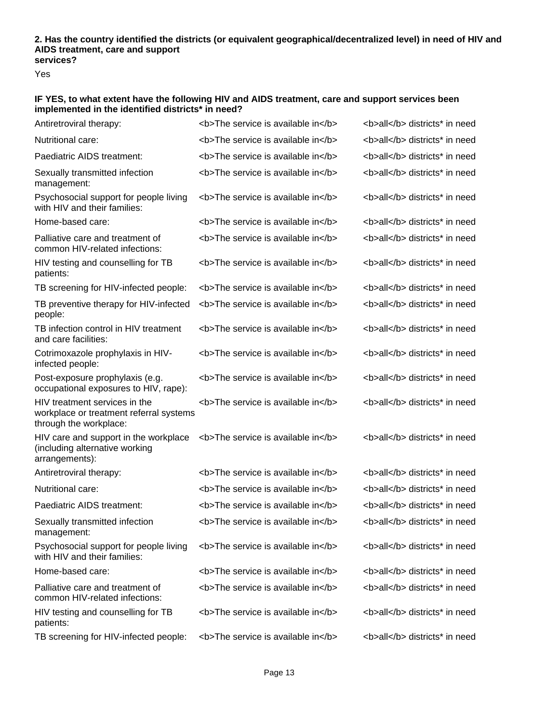#### **2. Has the country identified the districts (or equivalent geographical/decentralized level) in need of HIV and AIDS treatment, care and support services?**

Yes

# **IF YES, to what extent have the following HIV and AIDS treatment, care and support services been implemented in the identified districts\* in need?**

| Antiretroviral therapy:                                                                            | <b>The service is available in</b> | <b>all</b> districts* in need |
|----------------------------------------------------------------------------------------------------|------------------------------------|-------------------------------|
| Nutritional care:                                                                                  | <b>The service is available in</b> | <b>all</b> districts* in need |
| Paediatric AIDS treatment:                                                                         | <b>The service is available in</b> | <b>all</b> districts* in need |
| Sexually transmitted infection<br>management:                                                      | <b>The service is available in</b> | <b>all</b> districts* in need |
| Psychosocial support for people living<br>with HIV and their families:                             | <b>The service is available in</b> | <b>all</b> districts* in need |
| Home-based care:                                                                                   | <b>The service is available in</b> | <b>all</b> districts* in need |
| Palliative care and treatment of<br>common HIV-related infections:                                 | <b>The service is available in</b> | <b>all</b> districts* in need |
| HIV testing and counselling for TB<br>patients:                                                    | <b>The service is available in</b> | <b>all</b> districts* in need |
| TB screening for HIV-infected people:                                                              | <b>The service is available in</b> | <b>all</b> districts* in need |
| TB preventive therapy for HIV-infected<br>people:                                                  | <b>The service is available in</b> | <b>all</b> districts* in need |
| TB infection control in HIV treatment<br>and care facilities:                                      | <b>The service is available in</b> | <b>all</b> districts* in need |
| Cotrimoxazole prophylaxis in HIV-<br>infected people:                                              | <b>The service is available in</b> | <b>all</b> districts* in need |
| Post-exposure prophylaxis (e.g.<br>occupational exposures to HIV, rape):                           | <b>The service is available in</b> | <b>all</b> districts* in need |
| HIV treatment services in the<br>workplace or treatment referral systems<br>through the workplace: | <b>The service is available in</b> | <b>all</b> districts* in need |
| HIV care and support in the workplace<br>(including alternative working<br>arrangements):          | <b>The service is available in</b> | <b>all</b> districts* in need |
| Antiretroviral therapy:                                                                            | <b>The service is available in</b> | <b>all</b> districts* in need |
| Nutritional care:                                                                                  | <b>The service is available in</b> | <b>all</b> districts* in need |
| Paediatric AIDS treatment:                                                                         | <b>The service is available in</b> | <b>all</b> districts* in need |
| Sexually transmitted infection<br>management:                                                      | <b>The service is available in</b> | <b>all</b> districts* in need |
| Psychosocial support for people living<br>with HIV and their families:                             | <b>The service is available in</b> | <b>all</b> districts* in need |
| Home-based care:                                                                                   | <b>The service is available in</b> | <b>all</b> districts* in need |
| Palliative care and treatment of<br>common HIV-related infections:                                 | <b>The service is available in</b> | <b>all</b> districts* in need |
| HIV testing and counselling for TB<br>patients:                                                    | <b>The service is available in</b> | <b>all</b> districts* in need |
| TB screening for HIV-infected people:                                                              | <b>The service is available in</b> | <b>all</b> districts* in need |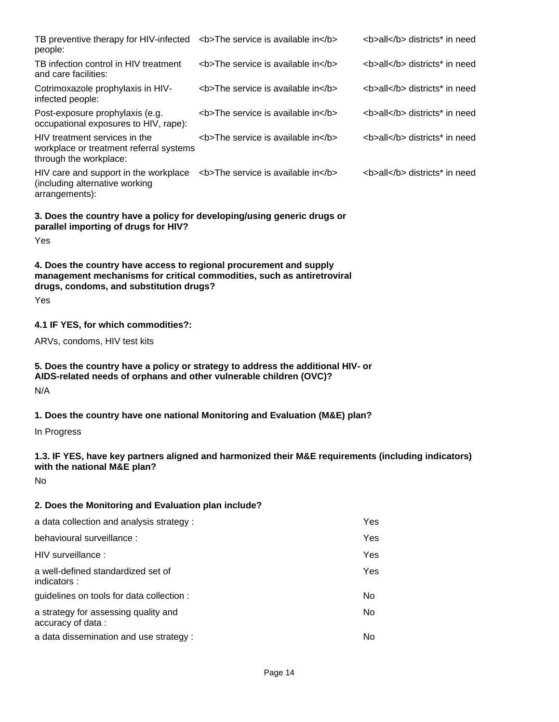| TB preventive therapy for HIV-infected<br>people:                                                                                                                                              | <b>The service is available in</b> | <b>all</b> districts* in need |
|------------------------------------------------------------------------------------------------------------------------------------------------------------------------------------------------|------------------------------------|-------------------------------|
| TB infection control in HIV treatment<br>and care facilities:                                                                                                                                  | <b>The service is available in</b> | <b>all</b> districts* in need |
| Cotrimoxazole prophylaxis in HIV-<br>infected people:                                                                                                                                          | <b>The service is available in</b> | <b>all</b> districts* in need |
| Post-exposure prophylaxis (e.g.<br>occupational exposures to HIV, rape):                                                                                                                       | <b>The service is available in</b> | <b>all</b> districts* in need |
| HIV treatment services in the<br>workplace or treatment referral systems<br>through the workplace:                                                                                             | <b>The service is available in</b> | <b>all</b> districts* in need |
| HIV care and support in the workplace $\leq$ b The service is available in $\leq$ /b ><br>(including alternative working<br>arrangements):                                                     |                                    | <b>all</b> districts* in need |
| 3. Does the country have a policy for developing/using generic drugs or<br>parallel importing of drugs for HIV?<br>Yes                                                                         |                                    |                               |
| 4. Does the country have access to regional procurement and supply<br>management mechanisms for critical commodities, such as antiretroviral<br>drugs, condoms, and substitution drugs?<br>Yes |                                    |                               |
| 4.1 IF YES, for which commodities?:                                                                                                                                                            |                                    |                               |
| ARVs, condoms, HIV test kits                                                                                                                                                                   |                                    |                               |
| 5. Does the country have a policy or strategy to address the additional HIV- or<br>AIDS-related needs of orphans and other vulnerable children (OVC)?<br>N/A                                   |                                    |                               |
| 1. Does the country have one national Monitoring and Evaluation (M&E) plan?                                                                                                                    |                                    |                               |
| In Progress                                                                                                                                                                                    |                                    |                               |
| 1.3. IF YES, have key partners aligned and harmonized their M&E requirements (including indicators)<br>with the national M&E plan?                                                             |                                    |                               |
| No                                                                                                                                                                                             |                                    |                               |
| 2. Does the Monitoring and Evaluation plan include?                                                                                                                                            |                                    |                               |
| a data collection and analysis strategy :                                                                                                                                                      |                                    | Yes                           |
| behavioural surveillance :                                                                                                                                                                     |                                    | Yes                           |
| HIV surveillance :                                                                                                                                                                             |                                    | Yes                           |
| a well-defined standardized set of<br>indicators:                                                                                                                                              |                                    | Yes                           |
| guidelines on tools for data collection :                                                                                                                                                      |                                    | No                            |

a strategy for assessing quality and accuracy of data :

a data dissemination and use strategy : No

No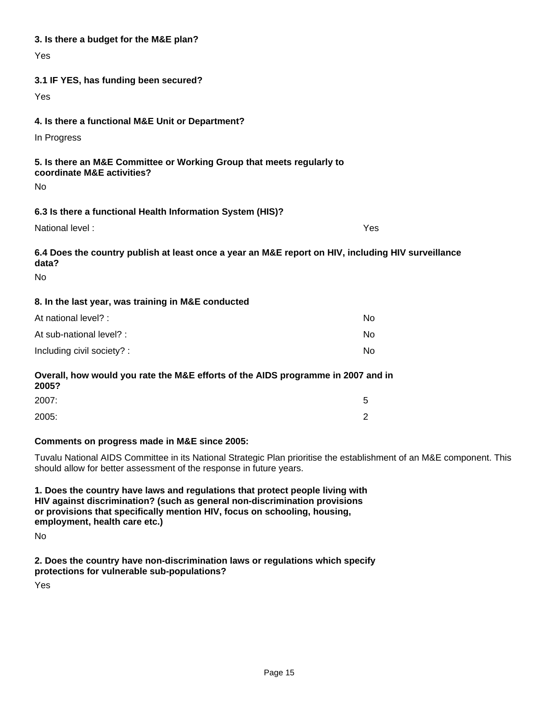| 3. Is there a budget for the M&E plan?                                                                                   |           |
|--------------------------------------------------------------------------------------------------------------------------|-----------|
| Yes                                                                                                                      |           |
| 3.1 IF YES, has funding been secured?                                                                                    |           |
| Yes                                                                                                                      |           |
|                                                                                                                          |           |
| 4. Is there a functional M&E Unit or Department?                                                                         |           |
| In Progress                                                                                                              |           |
| 5. Is there an M&E Committee or Working Group that meets regularly to<br>coordinate M&E activities?<br>No                |           |
| 6.3 Is there a functional Health Information System (HIS)?                                                               |           |
| National level:                                                                                                          | Yes       |
| 6.4 Does the country publish at least once a year an M&E report on HIV, including HIV surveillance<br>data?<br><b>No</b> |           |
| 8. In the last year, was training in M&E conducted                                                                       |           |
| At national level? :                                                                                                     | <b>No</b> |
| At sub-national level? :                                                                                                 | No        |
| Including civil society? :                                                                                               | No        |
| Overall, how would you rate the M&E efforts of the AIDS programme in 2007 and in<br>2005?                                |           |
| 2007:                                                                                                                    | 5         |

# **Comments on progress made in M&E since 2005:**

Tuvalu National AIDS Committee in its National Strategic Plan prioritise the establishment of an M&E component. This should allow for better assessment of the response in future years.

**1. Does the country have laws and regulations that protect people living with HIV against discrimination? (such as general non-discrimination provisions or provisions that specifically mention HIV, focus on schooling, housing, employment, health care etc.)**

No

**2. Does the country have non-discrimination laws or regulations which specify protections for vulnerable sub-populations?**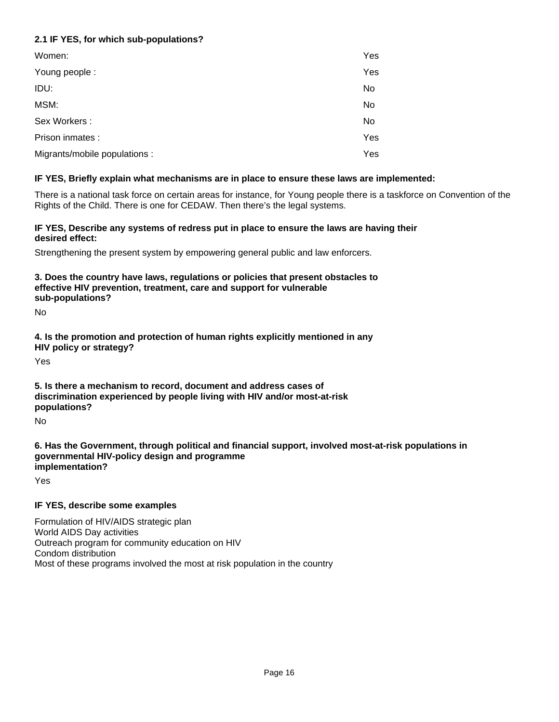# **2.1 IF YES, for which sub-populations?**

| Women:                        | Yes |
|-------------------------------|-----|
| Young people:                 | Yes |
| IDU:                          | No  |
| MSM:                          | No  |
| Sex Workers:                  | No  |
| Prison inmates :              | Yes |
| Migrants/mobile populations : | Yes |

# **IF YES, Briefly explain what mechanisms are in place to ensure these laws are implemented:**

There is a national task force on certain areas for instance, for Young people there is a taskforce on Convention of the Rights of the Child. There is one for CEDAW. Then there's the legal systems.

## **IF YES, Describe any systems of redress put in place to ensure the laws are having their desired effect:**

Strengthening the present system by empowering general public and law enforcers.

# **3. Does the country have laws, regulations or policies that present obstacles to effective HIV prevention, treatment, care and support for vulnerable sub-populations?**

No

**4. Is the promotion and protection of human rights explicitly mentioned in any HIV policy or strategy?**

Yes

# **5. Is there a mechanism to record, document and address cases of discrimination experienced by people living with HIV and/or most-at-risk populations?**

No

**6. Has the Government, through political and financial support, involved most-at-risk populations in governmental HIV-policy design and programme implementation?**

Yes

# **IF YES, describe some examples**

Formulation of HIV/AIDS strategic plan World AIDS Day activities Outreach program for community education on HIV Condom distribution Most of these programs involved the most at risk population in the country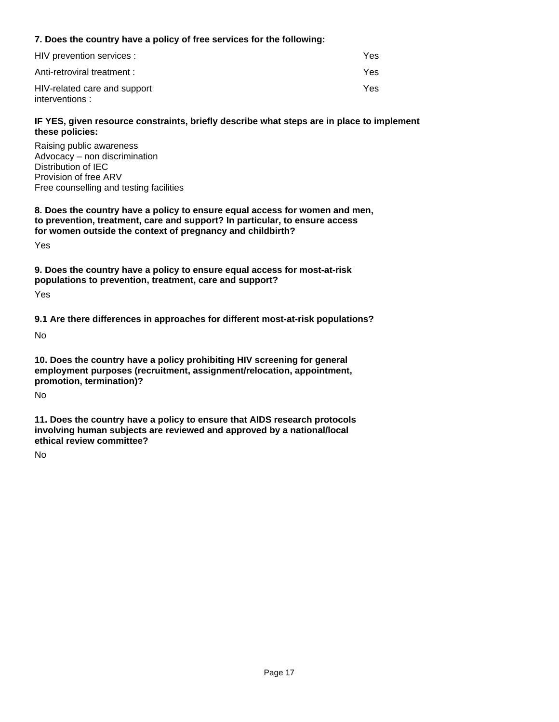# **7. Does the country have a policy of free services for the following:**

| HIV prevention services :                       | Yes |
|-------------------------------------------------|-----|
| Anti-retroviral treatment :                     | Yes |
| HIV-related care and support<br>interventions : | Yes |

## **IF YES, given resource constraints, briefly describe what steps are in place to implement these policies:**

Raising public awareness Advocacy – non discrimination Distribution of IEC Provision of free ARV Free counselling and testing facilities

**8. Does the country have a policy to ensure equal access for women and men, to prevention, treatment, care and support? In particular, to ensure access for women outside the context of pregnancy and childbirth?**

Yes

**9. Does the country have a policy to ensure equal access for most-at-risk populations to prevention, treatment, care and support?**

Yes

**9.1 Are there differences in approaches for different most-at-risk populations?**

No

**10. Does the country have a policy prohibiting HIV screening for general employment purposes (recruitment, assignment/relocation, appointment, promotion, termination)?**

No

**11. Does the country have a policy to ensure that AIDS research protocols involving human subjects are reviewed and approved by a national/local ethical review committee?**

No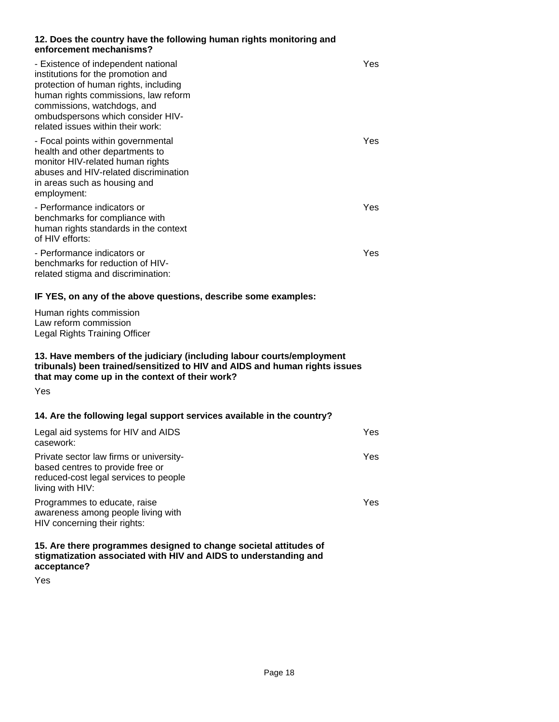## **12. Does the country have the following human rights monitoring and enforcement mechanisms?**

| - Existence of independent national<br>institutions for the promotion and<br>protection of human rights, including<br>human rights commissions, law reform<br>commissions, watchdogs, and<br>ombudspersons which consider HIV-<br>related issues within their work: | Yes |
|---------------------------------------------------------------------------------------------------------------------------------------------------------------------------------------------------------------------------------------------------------------------|-----|
| - Focal points within governmental<br>health and other departments to<br>monitor HIV-related human rights<br>abuses and HIV-related discrimination<br>in areas such as housing and<br>employment:                                                                   | Yes |
| - Performance indicators or<br>benchmarks for compliance with<br>human rights standards in the context<br>of HIV efforts:                                                                                                                                           | Yes |
| - Performance indicators or<br>benchmarks for reduction of HIV-<br>related stigma and discrimination:                                                                                                                                                               | Yes |

## **IF YES, on any of the above questions, describe some examples:**

Human rights commission Law reform commission Legal Rights Training Officer

# **13. Have members of the judiciary (including labour courts/employment tribunals) been trained/sensitized to HIV and AIDS and human rights issues that may come up in the context of their work?**

Yes

# **14. Are the following legal support services available in the country?**

| Legal aid systems for HIV and AIDS<br>casework:                                                                                          | Yes |
|------------------------------------------------------------------------------------------------------------------------------------------|-----|
| Private sector law firms or university-<br>based centres to provide free or<br>reduced-cost legal services to people<br>living with HIV: | Yes |
| Programmes to educate, raise<br>awareness among people living with<br>HIV concerning their rights:                                       | Yes |
|                                                                                                                                          |     |

**15. Are there programmes designed to change societal attitudes of stigmatization associated with HIV and AIDS to understanding and acceptance?**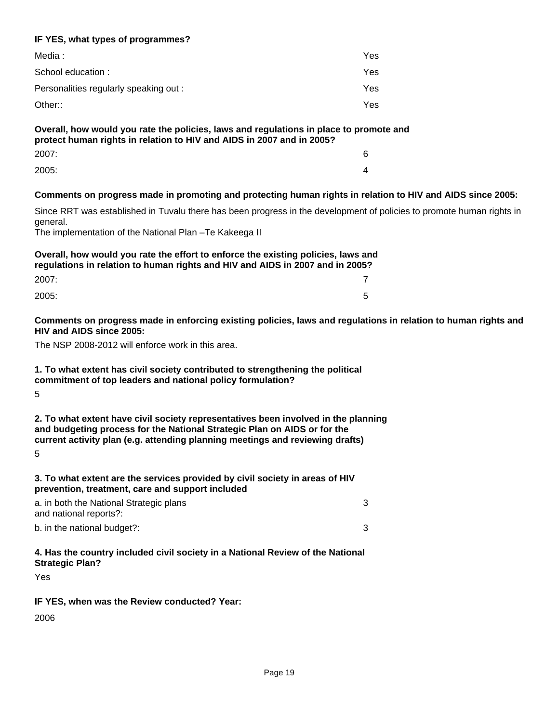# **IF YES, what types of programmes?**

| Media :                                | Yes  |
|----------------------------------------|------|
| School education:                      | Yes  |
| Personalities regularly speaking out : | Yes  |
| Other::                                | Yes. |

# **Overall, how would you rate the policies, laws and regulations in place to promote and protect human rights in relation to HIV and AIDS in 2007 and in 2005?**

| 2007: | 6 |
|-------|---|
| 2005: | 4 |

# **Comments on progress made in promoting and protecting human rights in relation to HIV and AIDS since 2005:**

Since RRT was established in Tuvalu there has been progress in the development of policies to promote human rights in general.

The implementation of the National Plan –Te Kakeega II

**Overall, how would you rate the effort to enforce the existing policies, laws and regulations in relation to human rights and HIV and AIDS in 2007 and in 2005?** 2007: 7

2005: 5

**Comments on progress made in enforcing existing policies, laws and regulations in relation to human rights and HIV and AIDS since 2005:**

The NSP 2008-2012 will enforce work in this area.

# **1. To what extent has civil society contributed to strengthening the political commitment of top leaders and national policy formulation?**

5

**2. To what extent have civil society representatives been involved in the planning and budgeting process for the National Strategic Plan on AIDS or for the current activity plan (e.g. attending planning meetings and reviewing drafts)** 5

**3. To what extent are the services provided by civil society in areas of HIV prevention, treatment, care and support included**

b. in the national budget?: 3 a. in both the National Strategic plans and national reports?: 3

# **4. Has the country included civil society in a National Review of the National Strategic Plan?**

Yes

# **IF YES, when was the Review conducted? Year:**

2006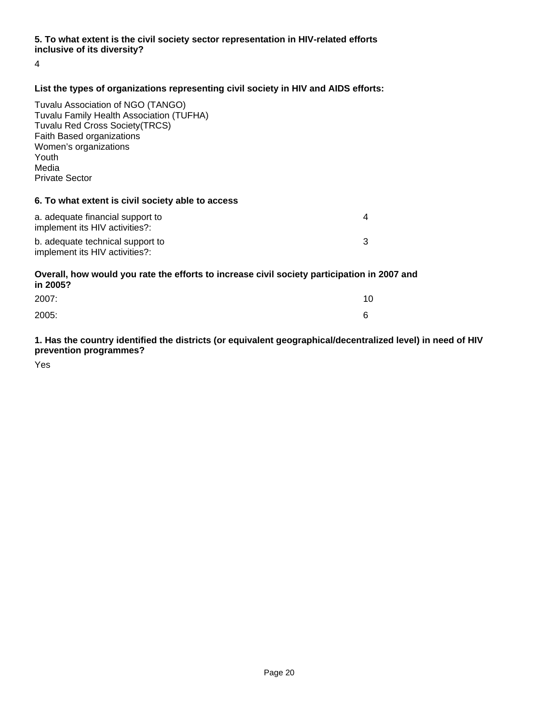# **5. To what extent is the civil society sector representation in HIV-related efforts inclusive of its diversity?**

4

# **List the types of organizations representing civil society in HIV and AIDS efforts:**

Tuvalu Association of NGO (TANGO) Tuvalu Family Health Association (TUFHA) Tuvalu Red Cross Society(TRCS) Faith Based organizations Women's organizations Youth Media Private Sector

#### **6. To what extent is civil society able to access**

| a. adequate financial support to<br>implement its HIV activities?: |  |
|--------------------------------------------------------------------|--|
| b. adequate technical support to<br>implement its HIV activities?: |  |

# **Overall, how would you rate the efforts to increase civil society participation in 2007 and in 2005?**

| 2007: | 10 |
|-------|----|
| 2005: | 6  |

# **1. Has the country identified the districts (or equivalent geographical/decentralized level) in need of HIV prevention programmes?**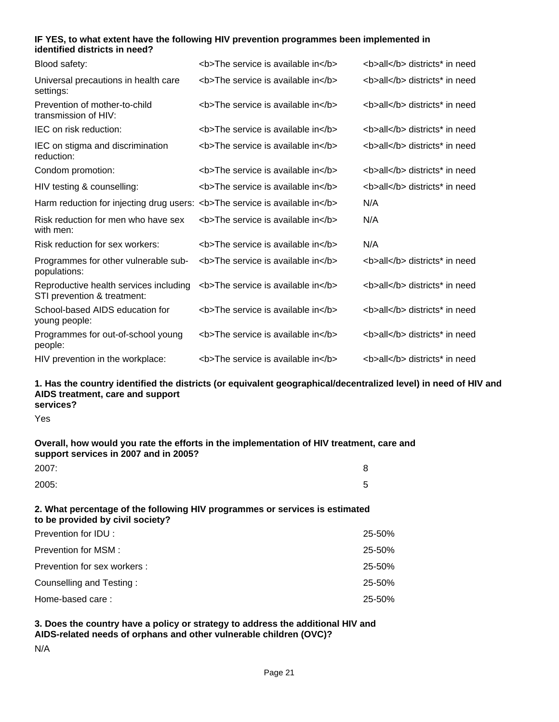## **IF YES, to what extent have the following HIV prevention programmes been implemented in identified districts in need?**

| Blood safety:                                                               | <b>The service is available in</b> | <b>all</b> districts* in need |
|-----------------------------------------------------------------------------|------------------------------------|-------------------------------|
| Universal precautions in health care<br>settings:                           | <b>The service is available in</b> | <b>all</b> districts* in need |
| Prevention of mother-to-child<br>transmission of HIV:                       | <b>The service is available in</b> | <b>all</b> districts* in need |
| IEC on risk reduction:                                                      | <b>The service is available in</b> | <b>all</b> districts* in need |
| IEC on stigma and discrimination<br>reduction:                              | <b>The service is available in</b> | <b>all</b> districts* in need |
| Condom promotion:                                                           | <b>The service is available in</b> | <b>all</b> districts* in need |
| HIV testing & counselling:                                                  | <b>The service is available in</b> | <b>all</b> districts* in need |
| Harm reduction for injecting drug users: <b>The service is available in</b> |                                    | N/A                           |
| Risk reduction for men who have sex<br>with men:                            | <b>The service is available in</b> | N/A                           |
| Risk reduction for sex workers:                                             | <b>The service is available in</b> | N/A                           |
| Programmes for other vulnerable sub-<br>populations:                        | <b>The service is available in</b> | <b>all</b> districts* in need |
| Reproductive health services including<br>STI prevention & treatment:       | <b>The service is available in</b> | <b>all</b> districts* in need |
| School-based AIDS education for<br>young people:                            | <b>The service is available in</b> | <b>all</b> districts* in need |
| Programmes for out-of-school young<br>people:                               | <b>The service is available in</b> | <b>all</b> districts* in need |
| HIV prevention in the workplace:                                            | <b>The service is available in</b> | <b>all</b> districts* in need |

#### **1. Has the country identified the districts (or equivalent geographical/decentralized level) in need of HIV and AIDS treatment, care and support services?**

Yes

## **Overall, how would you rate the efforts in the implementation of HIV treatment, care and support services in 2007 and in 2005?**

| 2007: | 8      |
|-------|--------|
| 2005: | д<br>ັ |

### **2. What percentage of the following HIV programmes or services is estimated to be provided by civil society?**

| Prevention for IDU:          | 25-50% |
|------------------------------|--------|
| Prevention for MSM :         | 25-50% |
| Prevention for sex workers : | 25-50% |
| Counselling and Testing:     | 25-50% |
| Home-based care:             | 25-50% |

## **3. Does the country have a policy or strategy to address the additional HIV and AIDS-related needs of orphans and other vulnerable children (OVC)?**

N/A